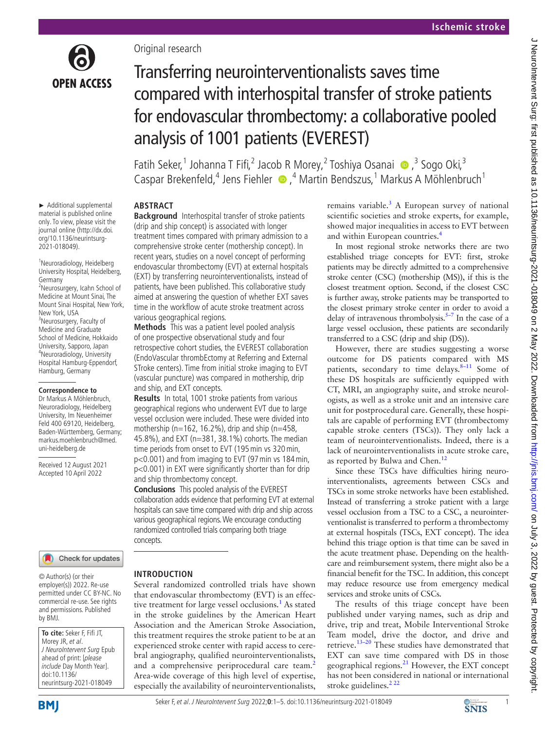

► Additional supplemental material is published online only. To view, please visit the journal online ([http://dx.doi.](http://dx.doi.org/10.1136/neurintsurg-2021-018049) [org/10.1136/neurintsurg-](http://dx.doi.org/10.1136/neurintsurg-2021-018049)[2021-018049\)](http://dx.doi.org/10.1136/neurintsurg-2021-018049).

<sup>1</sup>Neuroradiology, Heidelberg University Hospital, Heidelberg,

<sup>2</sup>Neurosurgery, Icahn School of Medicine at Mount Sinai, The Mount Sinai Hospital, New York,

Germany

New York, USA <sup>3</sup>Neurosurgery, Faculty of Medicine and Graduate School of Medicine, Hokkaido University, Sapporo, Japan 4 Neuroradiology, University Hospital Hamburg-Eppendorf, Hamburg, Germany

**Correspondence to** Dr Markus A Möhlenbruch, Neuroradiology, Heidelberg University, Im Neuenheimer Feld 400 69120, Heidelberg, Baden-Württemberg, Germany; markus.moehlenbruch@med. uni-heidelberg.de

Received 12 August 2021 Accepted 10 April 2022

Original research

# Transferring neurointerventionalists saves time compared with interhospital transfer of stroke patients for endovascular thrombectomy: a collaborative pooled analysis of 1001 patients (EVEREST)

Fatih Seker,<sup>1</sup> Johanna T Fifi,<sup>2</sup> Jacob R Morey,<sup>2</sup> Toshiya Osanai (  $\bullet$  ,<sup>3</sup> Sogo Oki,<sup>3</sup> CasparBrekenfeld,<sup>4</sup> Jens Fiehler  $\bullet$ ,<sup>4</sup> Martin Bendszus,<sup>1</sup> Markus A Möhlenbruch<sup>1</sup>

# **ARSTRACT**

**Background** Interhospital transfer of stroke patients (drip and ship concept) is associated with longer treatment times compared with primary admission to a comprehensive stroke center (mothership concept). In recent years, studies on a novel concept of performing endovascular thrombectomy (EVT) at external hospitals (EXT) by transferring neurointerventionalists, instead of patients, have been published. This collaborative study aimed at answering the question of whether EXT saves time in the workflow of acute stroke treatment across various geographical regions.

**Methods** This was a patient level pooled analysis of one prospective observational study and four retrospective cohort studies, the EVEREST collaboration (EndoVascular thrombEctomy at Referring and External STroke centers). Time from initial stroke imaging to EVT (vascular puncture) was compared in mothership, drip and ship, and EXT concepts.

**Results** In total, 1001 stroke patients from various geographical regions who underwent EVT due to large vessel occlusion were included. These were divided into mothership (n=162, 16.2%), drip and ship (n=458, 45.8%), and EXT (n=381, 38.1%) cohorts. The median time periods from onset to EVT (195min vs 320min, p<0.001) and from imaging to EVT (97min vs 184min, p<0.001) in EXT were significantly shorter than for drip and ship thrombectomy concept.

**Conclusions** This pooled analysis of the EVEREST collaboration adds evidence that performing EVT at external hospitals can save time compared with drip and ship across various geographical regions. We encourage conducting randomized controlled trials comparing both triage concepts.

Several randomized controlled trials have shown that endovascular thrombectomy (EVT) is an effec-tive treatment for large vessel occlusions.<sup>[1](#page-3-0)</sup> As stated in the stroke guidelines by the American Heart Association and the American Stroke Association, this treatment requires the stroke patient to be at an experienced stroke center with rapid access to cerebral angiography, qualified neurointerventionalists, and a comprehensive periprocedural care team.<sup>[2](#page-3-1)</sup> Area-wide coverage of this high level of expertise, especially the availability of neurointerventionalists,

**INTRODUCTION**

#### Check for updates

© Author(s) (or their employer(s)) 2022. Re-use permitted under CC BY-NC. No commercial re-use. See rights and permissions. Published by BMJ.

**To cite:** Seker F, Fifi JT, Morey JR, et al. J NeuroIntervent Surg Epub ahead of print: [please include Day Month Year]. doi:10.1136/ neurintsurg-2021-018049

Seker F, et al. J NeuroIntervent Surg 2022;**0**:1–5. doi:10.1136/neurintsurg-2021-018049 1

remains variable. $3$  A European survey of national scientific societies and stroke experts, for example, showed major inequalities in access to EVT between and within European countries[.4](#page-3-3)

In most regional stroke networks there are two established triage concepts for EVT: first, stroke patients may be directly admitted to a comprehensive stroke center (CSC) (mothership (MS)), if this is the closest treatment option. Second, if the closest CSC is further away, stroke patients may be transported to the closest primary stroke center in order to avoid a delay of intravenous thrombolysis. $5-7$  In the case of a large vessel occlusion, these patients are secondarily transferred to a CSC (drip and ship (DS)).

However, there are studies suggesting a worse outcome for DS patients compared with MS patients, secondary to time delays. $8-11$  Some of these DS hospitals are sufficiently equipped with CT, MRI, an angiography suite, and stroke neurologists, as well as a stroke unit and an intensive care unit for postprocedural care. Generally, these hospitals are capable of performing EVT (thrombectomy capable stroke centers (TSCs)). They only lack a team of neurointerventionalists. Indeed, there is a lack of neurointerventionalists in acute stroke care, as reported by Bulwa and Chen.<sup>[12](#page-4-1)</sup>

Since these TSCs have difficulties hiring neurointerventionalists, agreements between CSCs and TSCs in some stroke networks have been established. Instead of transferring a stroke patient with a large vessel occlusion from a TSC to a CSC, a neurointerventionalist is transferred to perform a thrombectomy at external hospitals (TSCs, EXT concept). The idea behind this triage option is that time can be saved in the acute treatment phase. Depending on the healthcare and reimbursement system, there might also be a financial benefit for the TSC. In addition, this concept may reduce resource use from emergency medical services and stroke units of CSCs.

The results of this triage concept have been published under varying names, such as drip and drive, trip and treat, Mobile Interventional Stroke Team model, drive the doctor, and drive and retrieve.[13–20](#page-4-2) These studies have demonstrated that EXT can save time compared with DS in those geographical regions. $^{21}$  $^{21}$  $^{21}$  However, the EXT concept has not been considered in national or international stroke guidelines.<sup>2 22</sup>

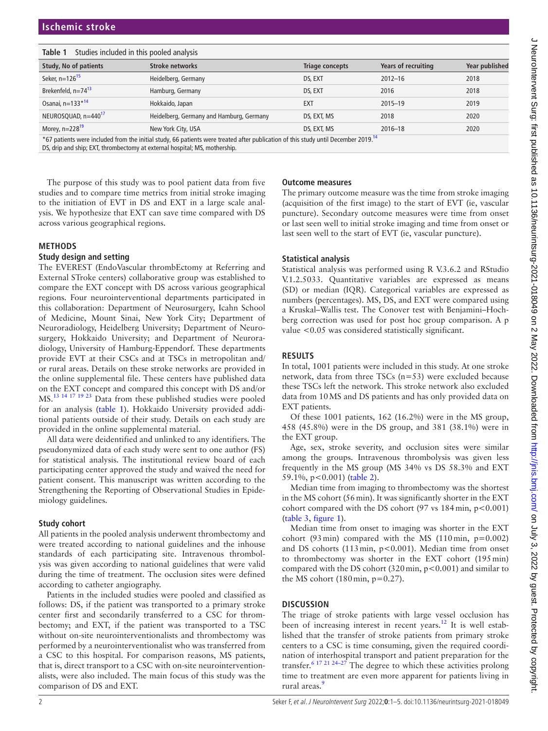# **Ischemic stroke**

#### <span id="page-1-0"></span>**Table 1** Studies included in this pooled analysis

| <b>Study, No of patients</b>                                                                                                                   | <b>Stroke networks</b>                   | Triage concepts | Years of recruiting | Year published |  |  |
|------------------------------------------------------------------------------------------------------------------------------------------------|------------------------------------------|-----------------|---------------------|----------------|--|--|
| Seker, n=126 <sup>15</sup>                                                                                                                     | Heidelberg, Germany                      | DS, EXT         | $2012 - 16$         | 2018           |  |  |
| Brekenfeld, $n=74^{13}$                                                                                                                        | Hamburg, Germany                         | DS, EXT         | 2016                | 2018           |  |  |
| Osanai, $n = 133 * 14$                                                                                                                         | Hokkaido, Japan                          | EXT             | $2015 - 19$         | 2019           |  |  |
| NEUROSQUAD, n=440 <sup>17</sup>                                                                                                                | Heidelberg, Germany and Hamburg, Germany | DS, EXT, MS     | 2018                | 2020           |  |  |
| Morey, $n=228^{19}$                                                                                                                            | New York City, USA                       | DS, EXT, MS     | $2016 - 18$         | 2020           |  |  |
| *67 patients were included from the initial study, 66 patients were treated after publication of this study until December 2019. <sup>14</sup> |                                          |                 |                     |                |  |  |

DS, drip and ship; EXT, thrombectomy at external hospital; MS, mothership.

The purpose of this study was to pool patient data from five studies and to compare time metrics from initial stroke imaging to the initiation of EVT in DS and EXT in a large scale analysis. We hypothesize that EXT can save time compared with DS across various geographical regions.

#### **METHODS**

# **Study design and setting**

The EVEREST (EndoVascular thrombEctomy at Referring and External STroke centers) collaborative group was established to compare the EXT concept with DS across various geographical regions. Four neurointerventional departments participated in this collaboration: Department of Neurosurgery, Icahn School of Medicine, Mount Sinai, New York City; Department of Neuroradiology, Heidelberg University; Department of Neurosurgery, Hokkaido University; and Department of Neuroradiology, University of Hamburg-Eppendorf. These departments provide EVT at their CSCs and at TSCs in metropolitan and/ or rural areas. Details on these stroke networks are provided in the [online supplemental file](https://dx.doi.org/10.1136/neurintsurg-2021-018049). These centers have published data on the EXT concept and compared this concept with DS and/or MS.[13 14 17 19 23](#page-4-2) Data from these published studies were pooled for an analysis [\(table](#page-1-0) 1). Hokkaido University provided additional patients outside of their study. Details on each study are provided in the [online supplemental material.](https://dx.doi.org/10.1136/neurintsurg-2021-018049)

All data were deidentified and unlinked to any identifiers. The pseudonymized data of each study were sent to one author (FS) for statistical analysis. The institutional review board of each participating center approved the study and waived the need for patient consent. This manuscript was written according to the Strengthening the Reporting of Observational Studies in Epidemiology guidelines.

## **Study cohort**

All patients in the pooled analysis underwent thrombectomy and were treated according to national guidelines and the inhouse standards of each participating site. Intravenous thrombolysis was given according to national guidelines that were valid during the time of treatment. The occlusion sites were defined according to catheter angiography.

Patients in the included studies were pooled and classified as follows: DS, if the patient was transported to a primary stroke center first and secondarily transferred to a CSC for thrombectomy; and EXT, if the patient was transported to a TSC without on-site neurointerventionalists and thrombectomy was performed by a neurointerventionalist who was transferred from a CSC to this hospital. For comparison reasons, MS patients, that is, direct transport to a CSC with on-site neurointerventionalists, were also included. The main focus of this study was the comparison of DS and EXT.

## **Outcome measures**

The primary outcome measure was the time from stroke imaging (acquisition of the first image) to the start of EVT (ie, vascular puncture). Secondary outcome measures were time from onset or last seen well to initial stroke imaging and time from onset or last seen well to the start of EVT (ie, vascular puncture).

## **Statistical analysis**

Statistical analysis was performed using R V.3.6.2 and RStudio V.1.2.5033. Quantitative variables are expressed as means (SD) or median (IQR). Categorical variables are expressed as numbers (percentages). MS, DS, and EXT were compared using a Kruskal–Wallis test. The Conover test with Benjamini–Hochberg correction was used for post hoc group comparison. A p value <0.05 was considered statistically significant.

## **RESULTS**

In total, 1001 patients were included in this study. At one stroke network, data from three TSCs (n=53) were excluded because these TSCs left the network. This stroke network also excluded data from 10MS and DS patients and has only provided data on EXT patients.

Of these 1001 patients, 162 (16.2%) were in the MS group, 458 (45.8%) were in the DS group, and 381 (38.1%) were in the EXT group.

Age, sex, stroke severity, and occlusion sites were similar among the groups. Intravenous thrombolysis was given less frequently in the MS group (MS 34% vs DS 58.3% and EXT 59.1%, p<0.001) ([table](#page-2-0) 2).

Median time from imaging to thrombectomy was the shortest in the MS cohort (56min). It was significantly shorter in the EXT cohort compared with the DS cohort  $(97 \text{ vs } 184 \text{ min}, p < 0.001)$ ([table](#page-2-1) 3, [figure](#page-2-2) 1).

Median time from onset to imaging was shorter in the EXT cohort (93 min) compared with the MS (110 min,  $p=0.002$ ) and DS cohorts (113 min, p<0.001). Median time from onset to thrombectomy was shorter in the EXT cohort (195min) compared with the DS cohort (320min, p<0.001) and similar to the MS cohort (180 $\text{min}$ , p=0.27).

## **DISCUSSION**

The triage of stroke patients with large vessel occlusion has been of increasing interest in recent years.<sup>12</sup> It is well established that the transfer of stroke patients from primary stroke centers to a CSC is time consuming, given the required coordination of interhospital transport and patient preparation for the transfer[.6 17 21 24–27](#page-4-4) The degree to which these activities prolong time to treatment are even more apparent for patients living in rural areas.<sup>[9](#page-4-5)</sup>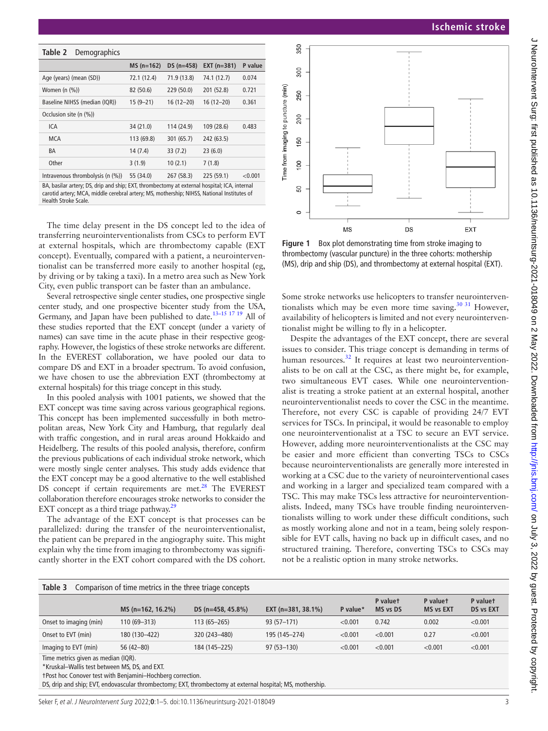<span id="page-2-0"></span>

| Table 2<br>Demographics          |             |             |               |         |
|----------------------------------|-------------|-------------|---------------|---------|
|                                  | $MS(n=162)$ | $DS(n=458)$ | $EXT$ (n=381) | P value |
| Age (years) (mean (SD))          | 72.1 (12.4) | 71.9 (13.8) | 74.1 (12.7)   | 0.074   |
| Women $(n \ (\%))$               | 82 (50.6)   | 229 (50.0)  | 201 (52.8)    | 0.721   |
| Baseline NIHSS (median (IQR))    | $15(9-21)$  | $16(12-20)$ | $16(12-20)$   | 0.361   |
| Occlusion site (n (%))           |             |             |               |         |
| ICA                              | 34 (21.0)   | 114 (24.9)  | 109(28.6)     | 0.483   |
| MCA                              | 113 (69.8)  | 301 (65.7)  | 242 (63.5)    |         |
| BA                               | 14(7.4)     | 33(7.2)     | 23(6.0)       |         |
| Other                            | 3(1.9)      | 10(2.1)     | 7(1.8)        |         |
| Intravenous thrombolysis (n (%)) | 55 (34.0)   | 267 (58.3)  | 225 (59.1)    | < 0.001 |

BA, basilar artery; DS, drip and ship; EXT, thrombectomy at external hospital; ICA, internal carotid artery; MCA, middle cerebral artery; MS, mothership; NIHSS, National Institutes of Health Stroke Scale.

The time delay present in the DS concept led to the idea of transferring neurointerventionalists from CSCs to perform EVT at external hospitals, which are thrombectomy capable (EXT concept). Eventually, compared with a patient, a neurointerventionalist can be transferred more easily to another hospital (eg, by driving or by taking a taxi). In a metro area such as New York City, even public transport can be faster than an ambulance.

Several retrospective single center studies, one prospective single center study, and one prospective bicenter study from the USA, Germany, and Japan have been published to date.<sup>13-15 17 19</sup> All of these studies reported that the EXT concept (under a variety of names) can save time in the acute phase in their respective geography. However, the logistics of these stroke networks are different. In the EVEREST collaboration, we have pooled our data to compare DS and EXT in a broader spectrum. To avoid confusion, we have chosen to use the abbreviation EXT (thrombectomy at external hospitals) for this triage concept in this study.

In this pooled analysis with 1001 patients, we showed that the EXT concept was time saving across various geographical regions. This concept has been implemented successfully in both metropolitan areas, New York City and Hamburg, that regularly deal with traffic congestion, and in rural areas around Hokkaido and Heidelberg. The results of this pooled analysis, therefore, confirm the previous publications of each individual stroke network, which were mostly single center analyses. This study adds evidence that the EXT concept may be a good alternative to the well established DS concept if certain requirements are met. $^{28}$  The EVEREST collaboration therefore encourages stroke networks to consider the EXT concept as a third triage pathway. $^{29}$ 

The advantage of the EXT concept is that processes can be parallelized: during the transfer of the neurointerventionalist, the patient can be prepared in the angiography suite. This might explain why the time from imaging to thrombectomy was significantly shorter in the EXT cohort compared with the DS cohort.



<span id="page-2-2"></span>**Figure 1** Box plot demonstrating time from stroke imaging to thrombectomy (vascular puncture) in the three cohorts: mothership (MS), drip and ship (DS), and thrombectomy at external hospital (EXT).

Some stroke networks use helicopters to transfer neurointerventionalists which may be even more time saving.<sup>30 31</sup> However, availability of helicopters is limited and not every neurointerventionalist might be willing to fly in a helicopter.

Despite the advantages of the EXT concept, there are several issues to consider. This triage concept is demanding in terms of human resources.<sup>32</sup> It requires at least two neurointerventionalists to be on call at the CSC, as there might be, for example, two simultaneous EVT cases. While one neurointerventionalist is treating a stroke patient at an external hospital, another neurointerventionalist needs to cover the CSC in the meantime. Therefore, not every CSC is capable of providing 24/7 EVT services for TSCs. In principal, it would be reasonable to employ one neurointerventionalist at a TSC to secure an EVT service. However, adding more neurointerventionalists at the CSC may be easier and more efficient than converting TSCs to CSCs because neurointerventionalists are generally more interested in working at a CSC due to the variety of neurointerventional cases and working in a larger and specialized team compared with a TSC. This may make TSCs less attractive for neurointerventionalists. Indeed, many TSCs have trouble finding neurointerventionalists willing to work under these difficult conditions, such as mostly working alone and not in a team, being solely responsible for EVT calls, having no back up in difficult cases, and no structured training. Therefore, converting TSCs to CSCs may not be a realistic option in many stroke networks.

<span id="page-2-1"></span>

| Table 3<br>Comparison of time metrics in the three triage concepts |                      |                   |                         |          |                      |                              |                       |  |  |
|--------------------------------------------------------------------|----------------------|-------------------|-------------------------|----------|----------------------|------------------------------|-----------------------|--|--|
|                                                                    | $MS (n=162, 16.2\%)$ | DS (n=458, 45.8%) | EXT ( $n=381, 38.1\%$ ) | P value* | P valuet<br>MS vs DS | P valuet<br><b>MS vs EXT</b> | P valuet<br>DS vs EXT |  |  |
| Onset to imaging (min)                                             | 110 (69-313)         | $113(65 - 265)$   | $93(57-171)$            | < 0.001  | 0.742                | 0.002                        | < 0.001               |  |  |
| Onset to EVT (min)                                                 | 180 (130-422)        | 320 (243-480)     | 195 (145-274)           | < 0.001  | < 0.001              | 0.27                         | < 0.001               |  |  |
| Imaging to EVT (min)                                               | $56(42-80)$          | 184 (145-225)     | $97(53 - 130)$          | < 0.001  | < 0.001              | < 0.001                      | < 0.001               |  |  |

Time metrics given as median (IQR).

\*Kruskal–Wallis test between MS, DS, and EXT.

†Post hoc Conover test with Benjamini–Hochberg correction.

DS, drip and ship; EVT, endovascular thrombectomy; EXT, thrombectomy at external hospital; MS, mothership.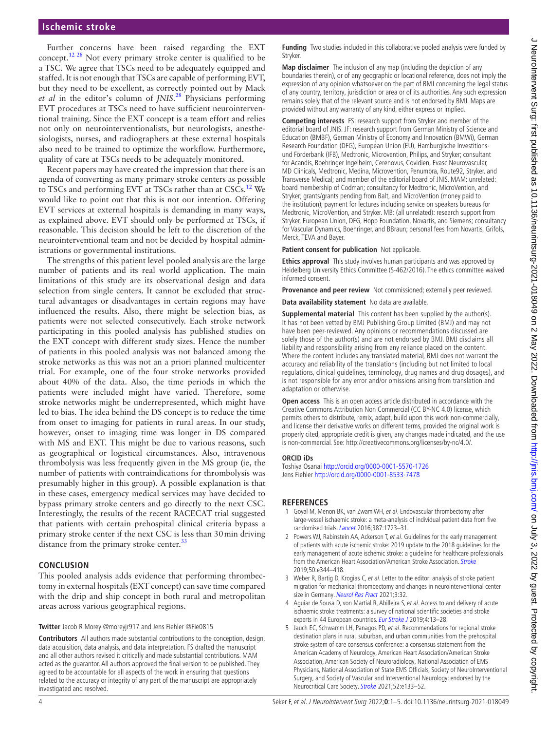Further concerns have been raised regarding the EXT concept.[12 28](#page-4-1) Not every primary stroke center is qualified to be a TSC. We agree that TSCs need to be adequately equipped and staffed. It is not enough that TSCs are capable of performing EVT, but they need to be excellent, as correctly pointed out by Mack *et al* in the editor's column of *JNIS*. [28](#page-4-10) Physicians performing EVT procedures at TSCs need to have sufficient neurointerventional training. Since the EXT concept is a team effort and relies not only on neurointerventionalists, but neurologists, anesthesiologists, nurses, and radiographers at these external hospitals also need to be trained to optimize the workflow. Furthermore, quality of care at TSCs needs to be adequately monitored.

Recent papers may have created the impression that there is an agenda of converting as many primary stroke centers as possible to TSCs and performing EVT at TSCs rather than at CSCs.<sup>[12](#page-4-1)</sup> We would like to point out that this is not our intention. Offering EVT services at external hospitals is demanding in many ways, as explained above. EVT should only be performed at TSCs, if reasonable. This decision should be left to the discretion of the neurointerventional team and not be decided by hospital administrations or governmental institutions.

The strengths of this patient level pooled analysis are the large number of patients and its real world application. The main limitations of this study are its observational design and data selection from single centers. It cannot be excluded that structural advantages or disadvantages in certain regions may have influenced the results. Also, there might be selection bias, as patients were not selected consecutively. Each stroke network participating in this pooled analysis has published studies on the EXT concept with different study sizes. Hence the number of patients in this pooled analysis was not balanced among the stroke networks as this was not an a priori planned multicenter trial. For example, one of the four stroke networks provided about 40% of the data. Also, the time periods in which the patients were included might have varied. Therefore, some stroke networks might be underrepresented, which might have led to bias. The idea behind the DS concept is to reduce the time from onset to imaging for patients in rural areas. In our study, however, onset to imaging time was longer in DS compared with MS and EXT. This might be due to various reasons, such as geographical or logistical circumstances. Also, intravenous thrombolysis was less frequently given in the MS group (ie, the number of patients with contraindications for thrombolysis was presumably higher in this group). A possible explanation is that in these cases, emergency medical services may have decided to bypass primary stroke centers and go directly to the next CSC. Interestingly, the results of the recent RACECAT trial suggested that patients with certain prehospital clinical criteria bypass a primary stroke center if the next CSC is less than 30min driving distance from the primary stroke center.<sup>[33](#page-4-14)</sup>

## **CONCLUSION**

This pooled analysis adds evidence that performing thrombectomy in external hospitals (EXT concept) can save time compared with the drip and ship concept in both rural and metropolitan areas across various geographical regions.

**Twitter** Jacob R Morey [@moreyjr917](https://twitter.com/moreyjr917) and Jens Fiehler [@Fie0815](https://twitter.com/Fie0815)

**Contributors** All authors made substantial contributions to the conception, design, data acquisition, data analysis, and data interpretation. FS drafted the manuscript and all other authors revised it critically and made substantial contributions. MAM acted as the guarantor. All authors approved the final version to be published. They agreed to be accountable for all aspects of the work in ensuring that questions related to the accuracy or integrity of any part of the manuscript are appropriately investigated and resolved.

**Funding** Two studies included in this collaborative pooled analysis were funded by Stryker.

**Map disclaimer** The inclusion of any map (including the depiction of any boundaries therein), or of any geographic or locational reference, does not imply the expression of any opinion whatsoever on the part of BMJ concerning the legal status of any country, territory, jurisdiction or area or of its authorities. Any such expression remains solely that of the relevant source and is not endorsed by BMJ. Maps are provided without any warranty of any kind, either express or implied.

**Competing interests** FS: research support from Stryker and member of the editorial board of JNIS. JF: research support from German Ministry of Science and Education (BMBF), German Ministry of Economy and Innovation (BMWi), German Research Foundation (DFG), European Union (EU), Hamburgische Investitionsund Förderbank (IFB), Medtronic, Microvention, Philips, and Stryker; consultant for Acandis, Boehringer Ingelheim, Cerenovus, Covidien, Evasc Neurovascular, MD Clinicals, Medtronic, Medina, Microvention, Penumbra, Route92, Stryker, and Transverse Medical; and member of the editorial board of JNIS. MAM: unrelated: board membership of Codman; consultancy for Medtronic, MicroVention, and Stryker; grants/grants pending from Balt, and MicroVention (money paid to the institution); payment for lectures including service on speakers bureaus for Medtronic, MicroVention, and Stryker. MB: (all unrelated): research support from Stryker, European Union, DFG, Hopp Foundation, Novartis, and Siemens; consultancy for Vascular Dynamics, Boehringer, and BBraun; personal fees from Novartis, Grifols, Merck, TEVA and Bayer.

**Patient consent for publication** Not applicable.

**Ethics approval** This study involves human participants and was approved by Heidelberg University Ethics Committee (S-462/2016). The ethics committee waived informed consent.

**Provenance and peer review** Not commissioned; externally peer reviewed.

**Data availability statement** No data are available.

**Supplemental material** This content has been supplied by the author(s). It has not been vetted by BMJ Publishing Group Limited (BMJ) and may not have been peer-reviewed. Any opinions or recommendations discussed are solely those of the author(s) and are not endorsed by BMJ. BMJ disclaims all liability and responsibility arising from any reliance placed on the content. Where the content includes any translated material, BMJ does not warrant the accuracy and reliability of the translations (including but not limited to local regulations, clinical guidelines, terminology, drug names and drug dosages), and is not responsible for any error and/or omissions arising from translation and adaptation or otherwise.

**Open access** This is an open access article distributed in accordance with the Creative Commons Attribution Non Commercial (CC BY-NC 4.0) license, which permits others to distribute, remix, adapt, build upon this work non-commercially, and license their derivative works on different terms, provided the original work is properly cited, appropriate credit is given, any changes made indicated, and the use is non-commercial. See: [http://creativecommons.org/licenses/by-nc/4.0/.](http://creativecommons.org/licenses/by-nc/4.0/)

#### **ORCID iDs**

Toshiya Osanai <http://orcid.org/0000-0001-5570-1726> Jens Fiehler<http://orcid.org/0000-0001-8533-7478>

#### **REFERENCES**

- <span id="page-3-0"></span>1 Goyal M, Menon BK, van Zwam WH, et al. Endovascular thrombectomy after large-vessel ischaemic stroke: a meta-analysis of individual patient data from five randomised trials. [Lancet](http://dx.doi.org/10.1016/S0140-6736(16)00163-X) 2016;387:1723–31.
- <span id="page-3-1"></span>2 Powers WJ, Rabinstein AA, Ackerson T, et al. Guidelines for the early management of patients with acute ischemic stroke: 2019 update to the 2018 guidelines for the early management of acute ischemic stroke: a guideline for healthcare professionals from the American Heart Association/American [Stroke](http://dx.doi.org/10.1161/STR.0000000000000211) Association. Stroke 2019;50:e344–418.
- <span id="page-3-2"></span>3 Weber R, Bartig D, Krogias C, et al. Letter to the editor: analysis of stroke patient migration for mechanical thrombectomy and changes in neurointerventional center size in Germany. [Neurol Res Pract](http://dx.doi.org/10.1186/s42466-021-00131-2) 2021;3:32.
- <span id="page-3-3"></span>4 Aguiar de Sousa D, von Martial R, Abilleira S, et al. Access to and delivery of acute ischaemic stroke treatments: a survey of national scientific societies and stroke experts in 44 European countries. [Eur Stroke J](http://dx.doi.org/10.1177/2396987318786023) 2019;4:13–28.
- <span id="page-3-4"></span>5 Jauch EC, Schwamm LH, Panagos PD, et al. Recommendations for regional stroke destination plans in rural, suburban, and urban communities from the prehospital stroke system of care consensus conference: a consensus statement from the American Academy of Neurology, American Heart Association/American Stroke Association, American Society of Neuroradiology, National Association of EMS Physicians, National Association of State EMS Officials, Society of NeuroInterventional Surgery, and Society of Vascular and Interventional Neurology: endorsed by the Neurocritical Care Society. [Stroke](http://dx.doi.org/10.1161/STROKEAHA.120.033228) 2021;52:e133–52.